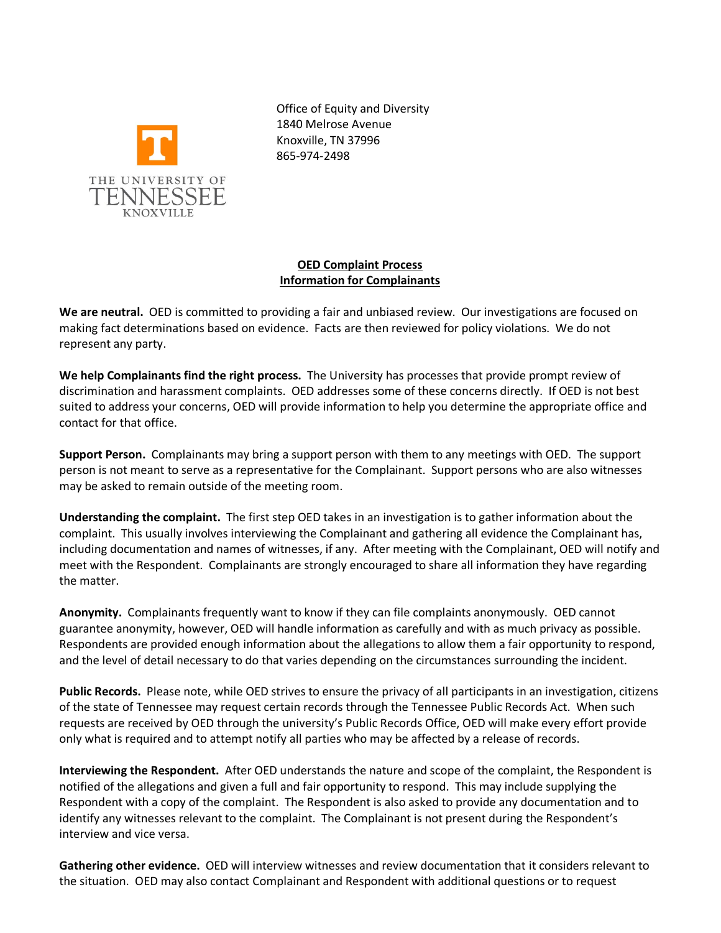

Office of Equity and Diversity 1840 Melrose Avenue Knoxville, TN 37996 865-974-2498

## **OED Complaint Process Information for Complainants**

**We are neutral.** OED is committed to providing a fair and unbiased review. Our investigations are focused on making fact determinations based on evidence. Facts are then reviewed for policy violations. We do not represent any party.

**We help Complainants find the right process.** The University has processes that provide prompt review of discrimination and harassment complaints. OED addresses some of these concerns directly. If OED is not best suited to address your concerns, OED will provide information to help you determine the appropriate office and contact for that office.

**Support Person.** Complainants may bring a support person with them to any meetings with OED. The support person is not meant to serve as a representative for the Complainant. Support persons who are also witnesses may be asked to remain outside of the meeting room.

**Understanding the complaint.** The first step OED takes in an investigation is to gather information about the complaint. This usually involves interviewing the Complainant and gathering all evidence the Complainant has, including documentation and names of witnesses, if any. After meeting with the Complainant, OED will notify and meet with the Respondent. Complainants are strongly encouraged to share all information they have regarding the matter.

**Anonymity.** Complainants frequently want to know if they can file complaints anonymously. OED cannot guarantee anonymity, however, OED will handle information as carefully and with as much privacy as possible. Respondents are provided enough information about the allegations to allow them a fair opportunity to respond, and the level of detail necessary to do that varies depending on the circumstances surrounding the incident.

**Public Records.** Please note, while OED strives to ensure the privacy of all participants in an investigation, citizens of the state of Tennessee may request certain records through the Tennessee Public Records Act. When such requests are received by OED through the university's Public Records Office, OED will make every effort provide only what is required and to attempt notify all parties who may be affected by a release of records.

**Interviewing the Respondent.** After OED understands the nature and scope of the complaint, the Respondent is notified of the allegations and given a full and fair opportunity to respond. This may include supplying the Respondent with a copy of the complaint. The Respondent is also asked to provide any documentation and to identify any witnesses relevant to the complaint. The Complainant is not present during the Respondent's interview and vice versa.

**Gathering other evidence.** OED will interview witnesses and review documentation that it considers relevant to the situation. OED may also contact Complainant and Respondent with additional questions or to request